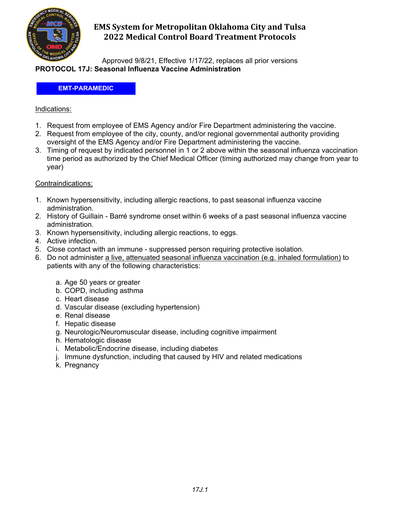

## **EMS System for Metropolitan Oklahoma City and Tulsa 2022 Medical Control Board Treatment Protocols**

Approved 9/8/21, Effective 1/17/22, replaces all prior versions **PROTOCOL 17J: Seasonal Influenza Vaccine Administration**

#### **EMT-PARAMEDIC**

### Indications:

- 1. Request from employee of EMS Agency and/or Fire Department administering the vaccine.
- 2. Request from employee of the city, county, and/or regional governmental authority providing oversight of the EMS Agency and/or Fire Department administering the vaccine.
- 3. Timing of request by indicated personnel in 1 or 2 above within the seasonal influenza vaccination time period as authorized by the Chief Medical Officer (timing authorized may change from year to year)

#### Contraindications:

- 1. Known hypersensitivity, including allergic reactions, to past seasonal influenza vaccine administration.
- 2. History of Guillain Barré syndrome onset within 6 weeks of a past seasonal influenza vaccine administration.
- 3. Known hypersensitivity, including allergic reactions, to eggs.
- 4. Active infection.
- 5. Close contact with an immune suppressed person requiring protective isolation.
- 6. Do not administer a live, attenuated seasonal influenza vaccination (e.g. inhaled formulation) to patients with any of the following characteristics:
	- a. Age 50 years or greater
	- b. COPD, including asthma
	- c. Heart disease
	- d. Vascular disease (excluding hypertension)
	- e. Renal disease
	- f. Hepatic disease
	- g. Neurologic/Neuromuscular disease, including cognitive impairment
	- h. Hematologic disease
	- i. Metabolic/Endocrine disease, including diabetes
	- j. Immune dysfunction, including that caused by HIV and related medications
	- k. Pregnancy